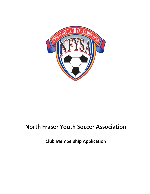

# **North Fraser Youth Soccer Association**

**Club Membership Application**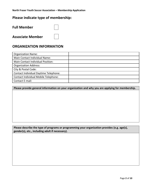## **Please indicate type of membership:**

| <b>Full Member</b>      |  |
|-------------------------|--|
| <b>Associate Member</b> |  |

## **ORGANIZATION INFORMATION**

| <b>Organization Name:</b>             |  |
|---------------------------------------|--|
| Main Contact Individual Name:         |  |
| Main Contact Individual Position:     |  |
| <b>Organization Address:</b>          |  |
| City & Postal Code:                   |  |
| Contact Individual Daytime Telephone: |  |
| Contact Individual Mobile Telephone:  |  |
| Contact E-mail:                       |  |

**Please provide general information on your organization and why you are applying for membership.**

#### **Please describe the type of programs or programming your organization provides (e.g. age(s), gender(s), etc., including adult if necessary).**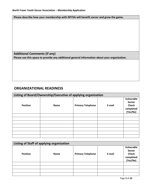**Please describe how your membership with NFYSA will benefit soccer and grow the game.**

**Additional Comments (if any) Please use this space to provide any additional general information about your organization.**

### **ORGANIZATIONAL READINESS**

|                 | Listing of Board/Ownership/Executive of applying organization |                          |        |                                                                      |  |  |  |  |
|-----------------|---------------------------------------------------------------|--------------------------|--------|----------------------------------------------------------------------|--|--|--|--|
| <b>Position</b> | <b>Name</b>                                                   | <b>Primary Telephone</b> | E-mail | Vulnerable<br><b>Sector</b><br><b>Check</b><br>completed<br>(Yes/No) |  |  |  |  |
|                 |                                                               |                          |        |                                                                      |  |  |  |  |
|                 |                                                               |                          |        |                                                                      |  |  |  |  |
|                 |                                                               |                          |        |                                                                      |  |  |  |  |
|                 |                                                               |                          |        |                                                                      |  |  |  |  |
|                 |                                                               |                          |        |                                                                      |  |  |  |  |
|                 |                                                               |                          |        |                                                                      |  |  |  |  |
|                 |                                                               |                          |        |                                                                      |  |  |  |  |

|                 | Listing of Staff of applying organization |                          |        |                                                                      |
|-----------------|-------------------------------------------|--------------------------|--------|----------------------------------------------------------------------|
| <b>Position</b> | <b>Name</b>                               | <b>Primary Telephone</b> | E-mail | Vulnerable<br><b>Sector</b><br><b>Check</b><br>completed<br>(Yes/No) |
|                 |                                           |                          |        |                                                                      |
|                 |                                           |                          |        |                                                                      |
|                 |                                           |                          |        |                                                                      |
|                 |                                           |                          |        |                                                                      |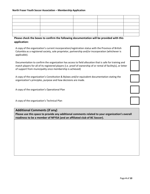#### **North Fraser Youth Soccer Association – Membership Application**

#### **Please check the boxes to confirm the following documentation will be provided with this application:**

A copy of the organization's current incorporation/registration status with the Province of British Columbia as a registered society, sole proprietor, partnership and/or incorporation (whichever is applicable).

Documentation to confirm the organization has access to field allocation that is safe for training and match players for all of its registered players (i.e. proof of ownership of or rental of facility(s), or letter of support from municipality once membership is achieved)

A copy of the organization's Constitution & Bylaws and/or equivalent documentation stating the organization's principles, purpose and how decisions are made.

A copy of the organization's Operational Plan

A copy of the organization's Technical Plan

#### **Additional Comments (if any)**

**Please use this space to provide any additional comments related to your organization's overall readiness to be a member of NFYSA (and an affiliated club of BC Soccer).**





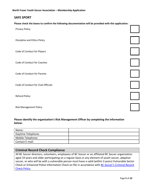**North Fraser Youth Soccer Association – Membership Application**

### **SAFE SPORT**

**Please check the boxes to confirm the following documentation will be provided with this application:**

| Privacy Policy                     |  |
|------------------------------------|--|
| Discipline and Ethics Policy       |  |
| Code of Conduct for Players        |  |
| Code of Conduct for Coaches        |  |
| Code of Conduct for Parents        |  |
| Code of Conduct for Club Officials |  |
| Refund Policy                      |  |
| <b>Risk Management Policy</b>      |  |

#### **Please identify the organization's Risk Management Officer by completing the information below:**

| Name:              |  |
|--------------------|--|
| Daytime Telephone: |  |
| Mobile Telephone:  |  |
| Contact E-mail:    |  |

#### **Criminal Record Check Compliance**

All BC Soccer directors, volunteers, employees of BC Soccer or an affiliated BC Soccer organization aged 19 years and older participating on a regular basis in any element of youth soccer, adaptive soccer, or who will be with a vulnerable person must have a valid (within 3 years) Vulnerable Sector Check or Enhanced Police Information Check on file in accordance with [BC Soccer's Criminal Record](https://bcsoccer.net/bylaws)  [Check Policy.](https://bcsoccer.net/bylaws)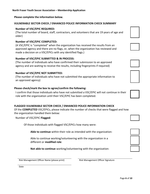**Please complete the information below.**

#### **VULNERABLE SECTOR CHECK / ENHANCED POLICE INFORMATION CHECK SUMMARY**

#### **Number of VSC/EPIC REQUIRED:**

(The total number of board, staff, contractors, and volunteers that are 19 years of age and older)

#### **Number of VSC/EPIC COMPLETED:**

(A VSC/EPIC is "completed" when the organization has received the results from an approved agency and there are no flags, or, when the organization has reviewed and made a decision on a VSC/EPICs with any identified flags.)

#### **Number of VSC/EPIC SUBMITTED & IN PROCESS:**

(The number of individuals who have confirmed their submission to an approved agency and are waiting to receive the results, including fingerprints if required)

#### **Number of VSC/EPIC NOT SUBMITTED:**

(The number of individuals who have not submitted the appropriate information to an approved agency)

#### **Please check/mark the box to agree/confirm the following:**

I confirm that those individuals who have not submitted a VSC/EPIC will not continue in their role with the organization until their VSC/EPIC has been completed.

#### **FLAGGED VULNERABLE SECTOR CHECK / ENHANCED POLICE INFORMATION CHECK**

Of the **COMPLETED** VSC/EPICs, please indicate the number of checks that were flagged and how the organization handled them below:

#### Number of VSC/EPIC **Flagged:**

Of those individuals with flagged VSC/EPICs how many were:

**Able to continue** within their role as intended with the organization:

Able to continue working/volunteering with the organization in a different or **modified role**:

**Not able to continue** working/volunteering with the organization:

Risk Management Officer Name (please print) Risk Management Officer Signature

Date









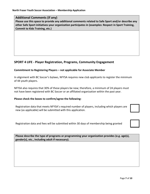#### **Additional Comments (if any)**

**Please use this space to provide any additional comments related to Safe Sport and/or describe any other Safe Sport initiatives your organization participates in (examples: Respect in Sport Training, Commit to Kids Training, etc.)**

### **SPORT 4 LIFE - Player Registration, Programs, Community Engagement**

#### **Commitment to Registering Players – not applicable for Associate Member**

In alignment with BC Soccer's bylaws, NFYSA requires new club applicants to register the minimum of 44 youth players.

NFYSA also requires that 30% of these players be new; therefore, a minimum of 24 players must not have been registered with BC Soccer or an affiliated organization within the past year.

#### **Please check the boxes to confirm/agree the following:**

Registration data that meets NFYSA's required number of players, including which players are new (as applicable) will be submitted with this application.

Registration data and fees will be submitted within 30 days of membership being granted

**Please describe the type of programs or programming your organization provides (e.g. age(s), gender(s), etc., including adult if necessary).**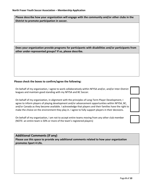**Please describe how your organization will engage with the community and/or other clubs in the District to promote participation in soccer.** 

**Does your organization provide programs for participants with disabilities and/or participants from other under-represented groups? If so, please describe.** 

#### **Please check the boxes to confirm/agree the following:**

On behalf of my organization, I agree to work collaboratively within NFYSA and/or, and/or Inter-District leagues and maintain good standing with my NFYSA and BC Soccer.

On behalf of my organization, in alignment with the principles of Long-Term Player Development, I agree to inform players of playing development and/or advancement opportunities within NFYSA, BC, and/or Canada as they become available. I acknowledge that players and their families have the right to make the choice on the environment they play in. I agree to fully support players in their decisions.

On behalf of my organization, I am not to accept entire teams moving from any other club member (NOTE: an entire team is 50% or more of the team's registered players)

#### **Additional Comments (if any)**

**Please use this space to provide any additional comments related to how your organization promotes Sport 4 Life.**

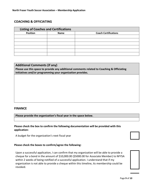### **COACHING & OFFICIATING**

| <b>Listing of Coaches and Certifications</b> |                             |  |  |
|----------------------------------------------|-----------------------------|--|--|
| <b>Position</b>                              | <b>Coach Certifications</b> |  |  |
|                                              |                             |  |  |
|                                              |                             |  |  |
|                                              |                             |  |  |
|                                              |                             |  |  |
|                                              |                             |  |  |
|                                              |                             |  |  |

### **Additional Comments (if any) Please use this space to provide any additional comments related to Coaching & Officiating initiatives and/or programming your organization provides.**

#### **FINANCE**

**Please provide the organization's fiscal year in the space below.**

#### **Please check the box to confirm the following documentation will be provided with this application:**

A budget for the organization's next fiscal year

#### **Please check the boxes to confirm/agree the following:**

Upon a successful application, I can confirm that my organization will be able to provide a cheque for a bond in the amount of \$10,000.00 (\$5000.00 for Associate Member) to NFYSA within 2 weeks of being notified of a successful application. I understand that if my organization is not able to provide a cheque within this timeline, its membership could be revoked.